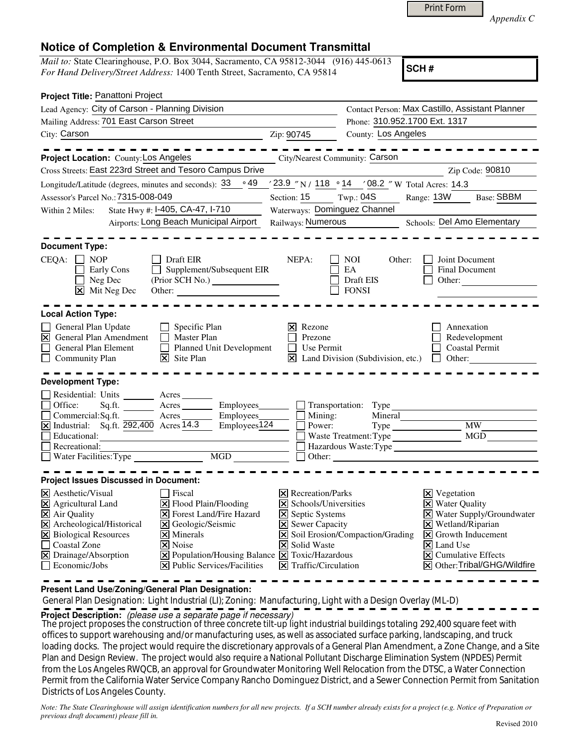|  | Print Form |
|--|------------|
|  |            |

*Appendix C* 

## **Notice of Completion & Environmental Document Transmittal**

*Mail to:* State Clearinghouse, P.O. Box 3044, Sacramento, CA 95812-3044 (916) 445-0613 *For Hand Delivery/Street Address:* 1400 Tenth Street, Sacramento, CA 95814

**SCH #**

| Project Title: Panattoni Project                                                                                                                                                                                                                                                                                                                                                                                                                                     |                                                                                                                                                                                          |                                                                                     |                                                                                                                                                                                                                                                                            |  |  |  |  |  |
|----------------------------------------------------------------------------------------------------------------------------------------------------------------------------------------------------------------------------------------------------------------------------------------------------------------------------------------------------------------------------------------------------------------------------------------------------------------------|------------------------------------------------------------------------------------------------------------------------------------------------------------------------------------------|-------------------------------------------------------------------------------------|----------------------------------------------------------------------------------------------------------------------------------------------------------------------------------------------------------------------------------------------------------------------------|--|--|--|--|--|
| Lead Agency: City of Carson - Planning Division                                                                                                                                                                                                                                                                                                                                                                                                                      |                                                                                                                                                                                          | Contact Person: Max Castillo, Assistant Planner                                     |                                                                                                                                                                                                                                                                            |  |  |  |  |  |
| Mailing Address: 701 East Carson Street                                                                                                                                                                                                                                                                                                                                                                                                                              |                                                                                                                                                                                          | Phone: 310.952.1700 Ext. 1317                                                       |                                                                                                                                                                                                                                                                            |  |  |  |  |  |
| City: Carson                                                                                                                                                                                                                                                                                                                                                                                                                                                         | Zip: 90745                                                                                                                                                                               | County: Los Angeles                                                                 |                                                                                                                                                                                                                                                                            |  |  |  |  |  |
| Project Location: County: Los Angeles                                                                                                                                                                                                                                                                                                                                                                                                                                |                                                                                                                                                                                          | <b>City/Nearest Community: Carson</b>                                               |                                                                                                                                                                                                                                                                            |  |  |  |  |  |
| Cross Streets: East 223rd Street and Tesoro Campus Drive                                                                                                                                                                                                                                                                                                                                                                                                             |                                                                                                                                                                                          |                                                                                     | Zip Code: 90810                                                                                                                                                                                                                                                            |  |  |  |  |  |
| 。49<br>Longitude/Latitude (degrees, minutes and seconds): 33                                                                                                                                                                                                                                                                                                                                                                                                         |                                                                                                                                                                                          | '23.9 "N / 118 ° 14 '08.2 "W Total Acres: 14.3                                      |                                                                                                                                                                                                                                                                            |  |  |  |  |  |
| Assessor's Parcel No.: 7315-008-049                                                                                                                                                                                                                                                                                                                                                                                                                                  | Section: $15$ Twp.: 04S                                                                                                                                                                  |                                                                                     | Range: 13W<br><b>Base: SBBM</b>                                                                                                                                                                                                                                            |  |  |  |  |  |
| State Hwy #: 1-405, CA-47, 1-710<br>Within 2 Miles:                                                                                                                                                                                                                                                                                                                                                                                                                  | Waterways: Dominguez Channel                                                                                                                                                             |                                                                                     |                                                                                                                                                                                                                                                                            |  |  |  |  |  |
| Airports: Long Beach Municipal Airport                                                                                                                                                                                                                                                                                                                                                                                                                               |                                                                                                                                                                                          | Railways: Numerous Schools: Del Amo Elementary                                      |                                                                                                                                                                                                                                                                            |  |  |  |  |  |
| <b>Document Type:</b><br>CEQA:<br><b>NOP</b><br>Draft EIR<br>Supplement/Subsequent EIR<br>Early Cons<br>Neg Dec<br>$\overline{\mathsf{x}}$ Mit Neg Dec<br>Other:                                                                                                                                                                                                                                                                                                     | NEPA:                                                                                                                                                                                    | NOI<br>Other:<br>EA<br>Draft EIS<br><b>FONSI</b>                                    | Joint Document<br><b>Final Document</b><br>Other:                                                                                                                                                                                                                          |  |  |  |  |  |
| <b>Local Action Type:</b>                                                                                                                                                                                                                                                                                                                                                                                                                                            |                                                                                                                                                                                          |                                                                                     |                                                                                                                                                                                                                                                                            |  |  |  |  |  |
| General Plan Update<br>$\Box$ Specific Plan<br><b>X</b> General Plan Amendment<br>Master Plan<br>$\perp$<br>Planned Unit Development<br>General Plan Element<br>Community Plan<br>$\overline{\mathsf{x}}$ Site Plan                                                                                                                                                                                                                                                  | Rezone<br>Ι×Ι<br>Prezone<br>Use Permit                                                                                                                                                   | $\boxed{\mathbf{X}}$ Land Division (Subdivision, etc.) $\boxed{\phantom{a}}$ Other: | Annexation<br>Redevelopment<br><b>Coastal Permit</b>                                                                                                                                                                                                                       |  |  |  |  |  |
| <b>Development Type:</b><br>Residential: Units<br>Acres<br>Employees________<br>Office:<br>Sq.ft.<br>Acres<br>Employees<br>Acres<br>Commercial:Sq.ft.<br>$Employes\overline{124}$<br>$\overline{X}$ Industrial: Sq.ft. $\overline{292,400}$ Acres 14.3<br>Educational:<br>Recreational:<br>$\Box$ Water Facilities: Type<br>$\overline{MGD}$                                                                                                                         | Mining:<br>Power:                                                                                                                                                                        | Transportation: Type<br>Mineral<br>Hazardous Waste:Type<br>$\Box$ Other: $\Box$     | <b>MW</b><br>MGD                                                                                                                                                                                                                                                           |  |  |  |  |  |
| <b>Project Issues Discussed in Document:</b>                                                                                                                                                                                                                                                                                                                                                                                                                         |                                                                                                                                                                                          |                                                                                     |                                                                                                                                                                                                                                                                            |  |  |  |  |  |
| X Aesthetic/Visual<br>  Fiscal<br>X Agricultural Land<br>$\Xi$ Flood Plain/Flooding<br>X Air Quality<br><b>X</b> Forest Land/Fire Hazard<br>X Archeological/Historical<br><b>X</b> Geologic/Seismic<br>X Biological Resources<br>$\overline{\mathsf{x}}$ Minerals<br>□ Coastal Zone<br>  <b>×</b>   Noise<br>X Drainage/Absorption<br>X Population/Housing Balance X Toxic/Hazardous<br>$\Box$ Economic/Jobs<br>$ \mathbf{\overline{X}} $ Public Services/Facilities | $ \mathsf{X} $ Recreation/Parks<br>X Schools/Universities<br><b>X</b> Septic Systems<br><b>X</b> Sewer Capacity<br><b>X</b> Solid Waste<br>$ \mathbf{\overline{X}} $ Traffic/Circulation | X Soil Erosion/Compaction/Grading                                                   | $\boxtimes$ Vegetation<br><b>X</b> Water Quality<br>X Water Supply/Groundwater<br>$\boxtimes$ Wetland/Riparian<br>$\boxed{\mathsf{X}}$ Growth Inducement<br>$\vert\mathsf{X}\vert$ Land Use<br>$\vert \mathsf{x} \vert$ Cumulative Effects<br>X Other: Tribal/GHG/Wildfire |  |  |  |  |  |

**Present Land Use/Zoning/General Plan Designation:**

 General Plan Designation: Light Industrial (LI); Zoning: Manufacturing, Light with a Design Overlay (ML-D) **Project Description:** (please use a separate page if necessary)

The project proposes the construction of three concrete tilt-up light industrial buildings totaling 292,400 square feet with offices to support warehousing and/or manufacturing uses, as well as associated surface parking, landscaping, and truck loading docks. The project would require the discretionary approvals of a General Plan Amendment, a Zone Change, and a Site Plan and Design Review. The project would also require a National Pollutant Discharge Elimination System (NPDES) Permit from the Los Angeles RWQCB, an approval for Groundwater Monitoring Well Relocation from the DTSC, a Water Connection Permit from the California Water Service Company Rancho Dominguez District, and a Sewer Connection Permit from Sanitation Districts of Los Angeles County.

*Note: The State Clearinghouse will assign identification numbers for all new projects. If a SCH number already exists for a project (e.g. Notice of Preparation or previous draft document) please fill in.*